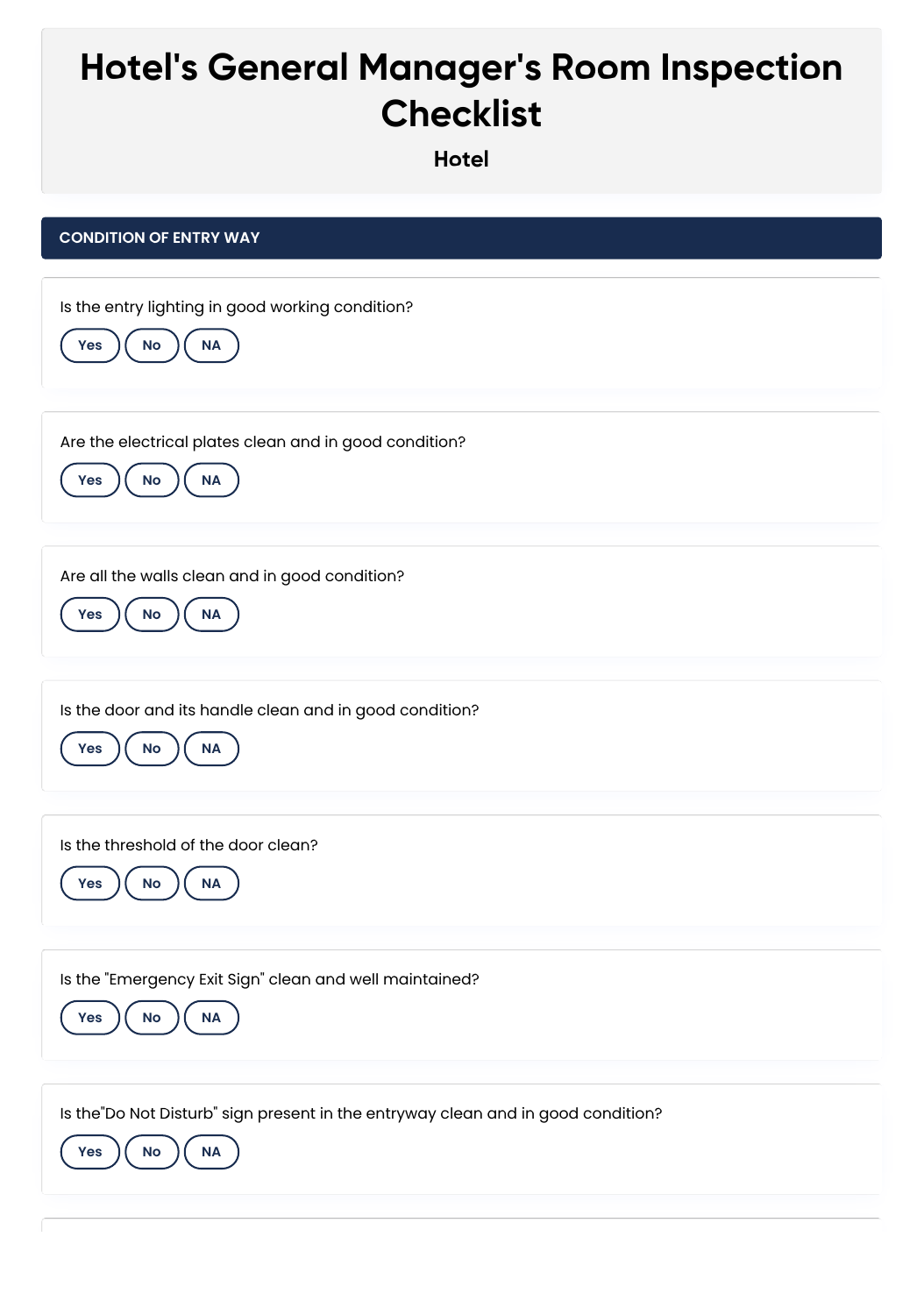## **Hotel's General Manager's Room Inspection Checklist**

**Hotel**

| <b>CONDITION OF ENTRY WAY</b>                                                                                     |
|-------------------------------------------------------------------------------------------------------------------|
| Is the entry lighting in good working condition?<br>$\sf NA$<br>Yes<br>$\mathsf{No}$                              |
| Are the electrical plates clean and in good condition?<br><b>NA</b><br>$\mathsf{No}$<br>Yes                       |
| Are all the walls clean and in good condition?<br>No<br>$\sf NA$<br>Yes                                           |
| Is the door and its handle clean and in good condition?<br>No<br>$\sf NA$<br>Yes                                  |
| Is the threshold of the door clean?<br><b>NA</b><br><b>No</b><br>Yes                                              |
| Is the "Emergency Exit Sign" clean and well maintained?<br>$\sf NA$<br>No<br>Yes                                  |
| Is the Do Not Disturb" sign present in the entryway clean and in good condition?<br><b>NA</b><br><b>No</b><br>Yes |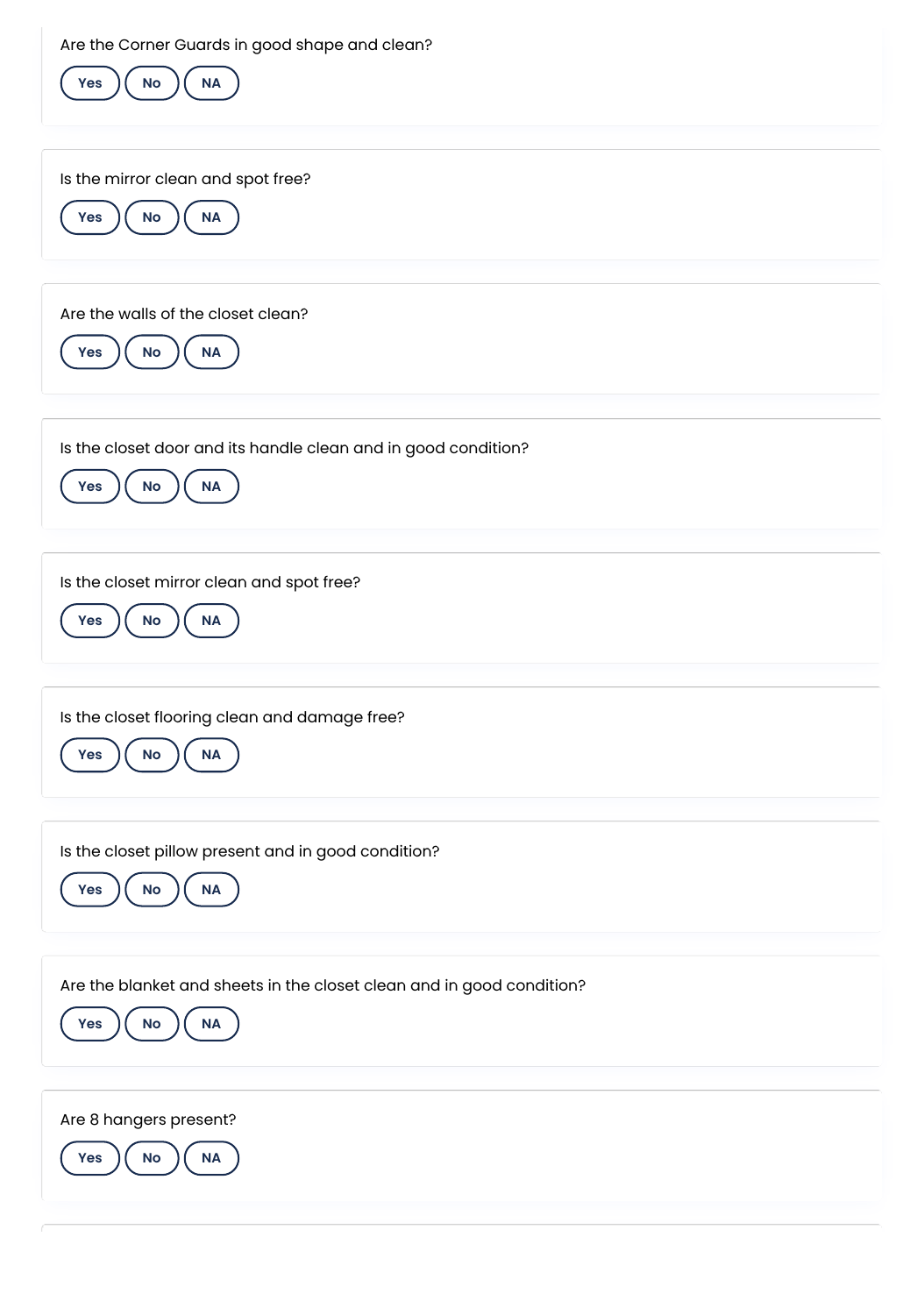Are the Corner Guards in good shape and clean?

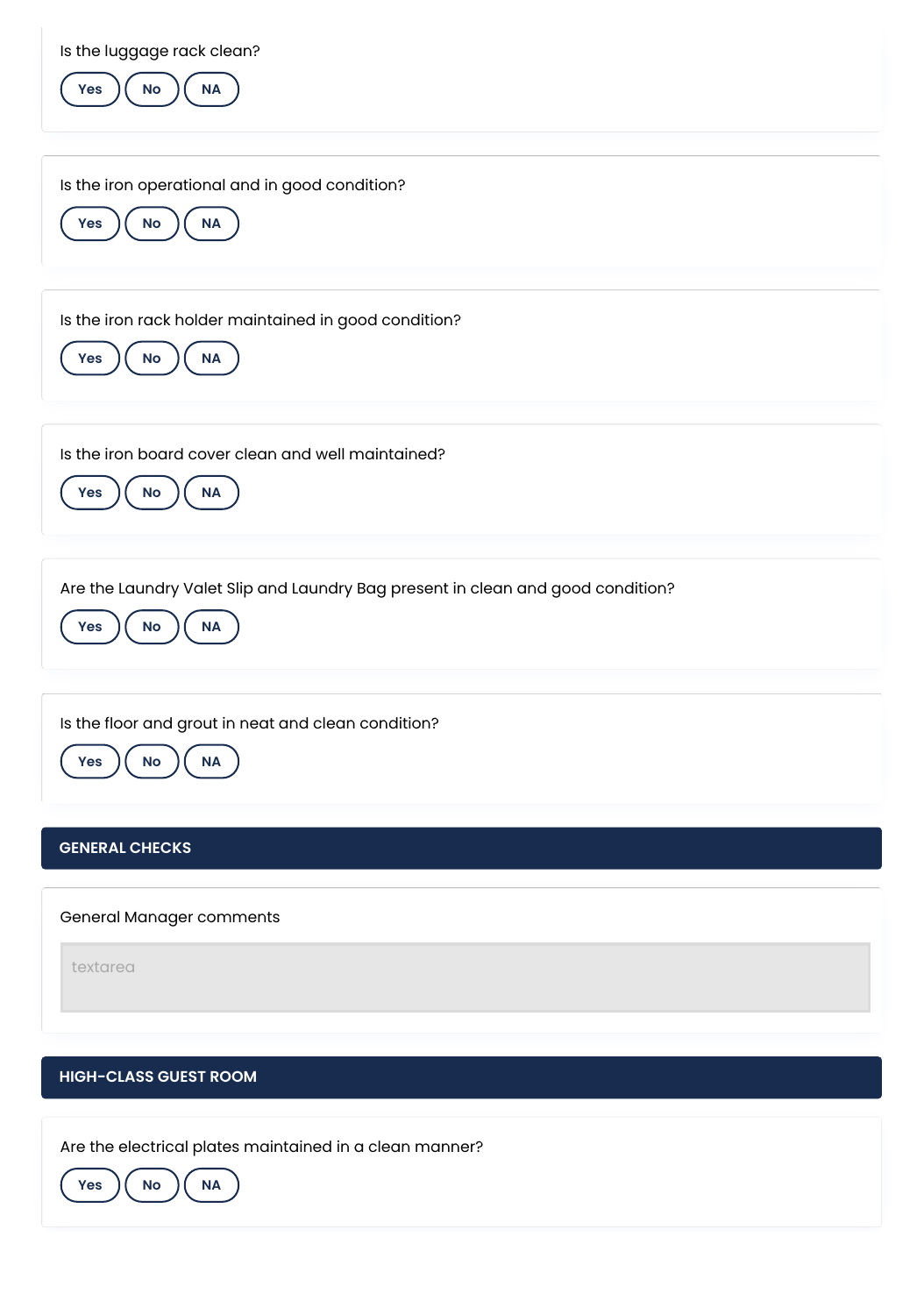| Is the luggage rack clean?<br>NA<br>No<br>Yes                                                                    |
|------------------------------------------------------------------------------------------------------------------|
| Is the iron operational and in good condition?<br>$\mathsf{No}$<br>$\sf NA$<br>Yes                               |
| Is the iron rack holder maintained in good condition?<br>$\mathsf{No}$<br>Yes<br>$\sf NA$                        |
| Is the iron board cover clean and well maintained?<br>$\sf NA$<br>No<br>Yes                                      |
| Are the Laundry Valet Slip and Laundry Bag present in clean and good condition?<br><b>No</b><br>Yes<br><b>NA</b> |
| Is the floor and grout in neat and clean condition?<br><b>NA</b><br>No<br><b>Yes</b>                             |
| <b>GENERAL CHECKS</b>                                                                                            |
| General Manager comments                                                                                         |
| textarea                                                                                                         |
| <b>HIGH-CLASS GUEST ROOM</b>                                                                                     |
|                                                                                                                  |

Are the electrical plates maintained in a clean manner?

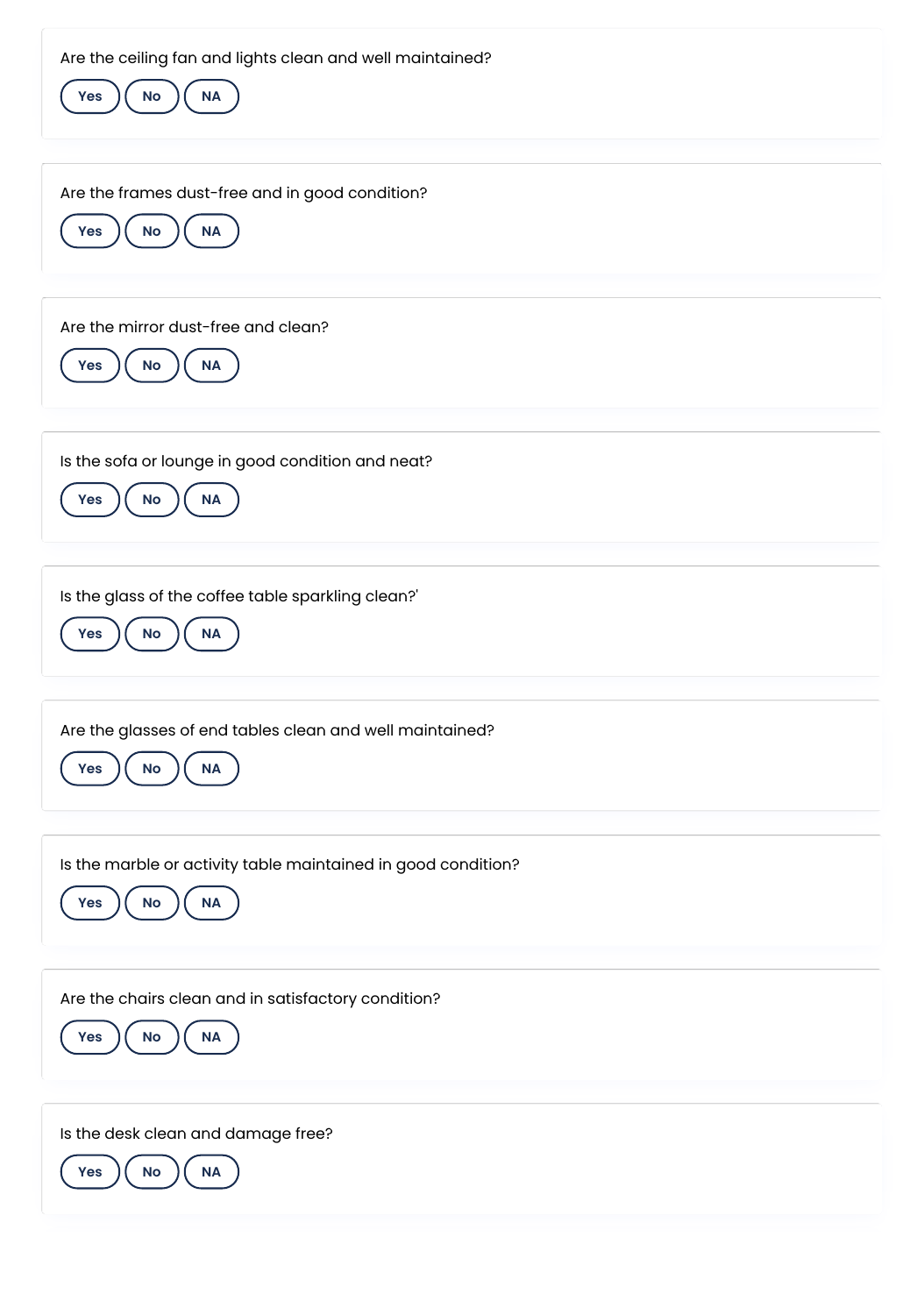| Are the ceiling fan and lights clean and well maintained?<br>$\mathsf{No}$<br>$\sf NA$<br>Yes |
|-----------------------------------------------------------------------------------------------|
| Are the frames dust-free and in good condition?<br>No<br>$\sf NA$<br>Yes                      |
| Are the mirror dust-free and clean?<br><b>No</b><br><b>NA</b><br>Yes                          |
| Is the sofa or lounge in good condition and neat?<br><b>No</b><br>Yes<br><b>NA</b>            |
| Is the glass of the coffee table sparkling clean?'<br>$\mathsf{No}$<br>$\sf NA$<br><b>Yes</b> |
| Are the glasses of end tables clean and well maintained?<br>No<br><b>NA</b><br>Yes            |
| Is the marble or activity table maintained in good condition?<br>No<br>$\sf NA$<br>Yes        |
| Are the chairs clean and in satisfactory condition?<br>No<br>$\sf NA$<br>Yes                  |
| Is the desk clean and damage free?<br>$\mathsf{No}$<br>$\sf NA$<br><b>Yes</b>                 |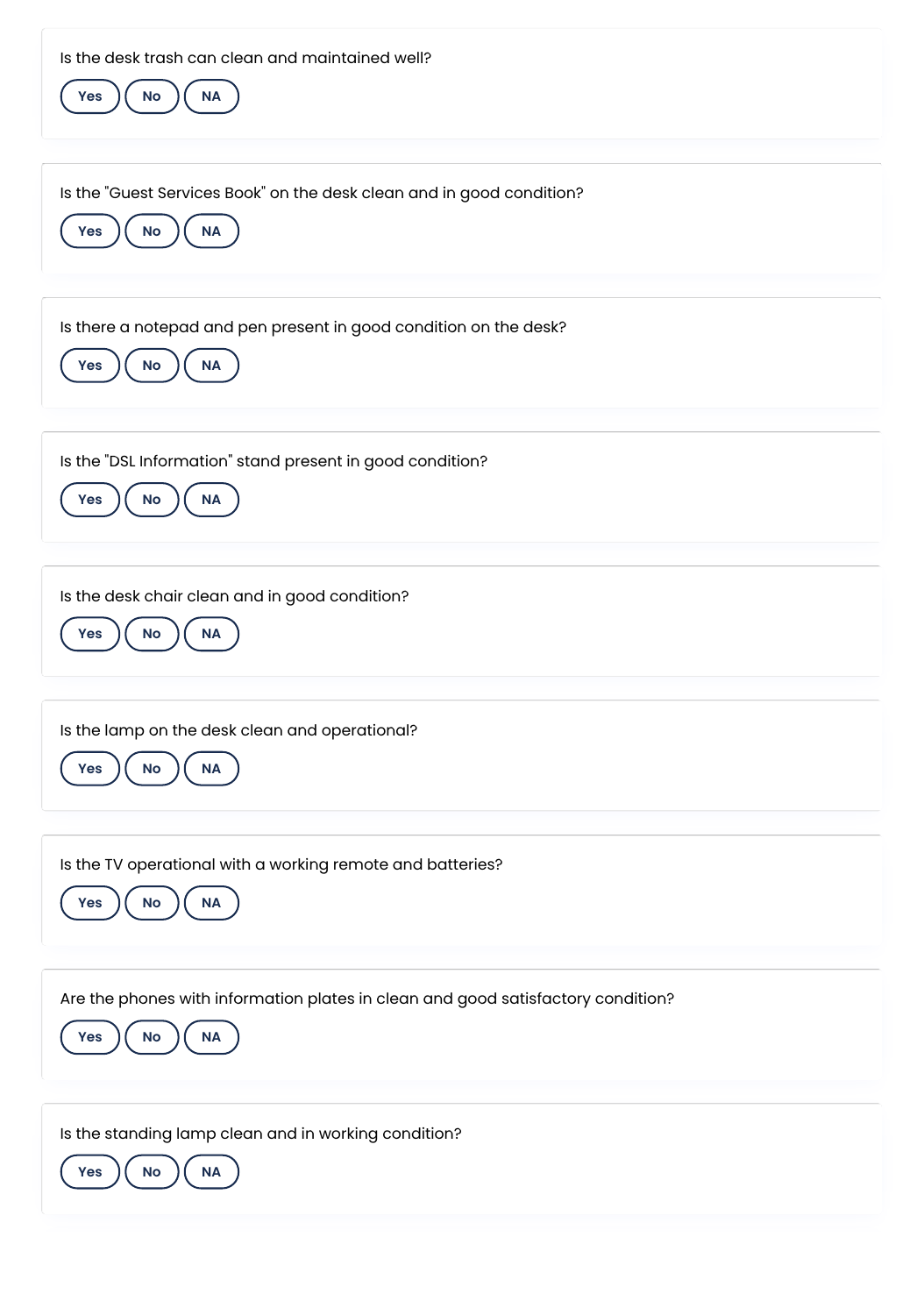| Is the desk trash can clean and maintained well?<br><b>No</b><br><b>NA</b><br>Yes                                           |
|-----------------------------------------------------------------------------------------------------------------------------|
| Is the "Guest Services Book" on the desk clean and in good condition?<br><b>No</b><br><b>NA</b><br>Yes                      |
| Is there a notepad and pen present in good condition on the desk?<br><b>NA</b><br>No<br>Yes                                 |
| Is the "DSL Information" stand present in good condition?<br><b>No</b><br><b>NA</b><br>Yes                                  |
| Is the desk chair clean and in good condition?<br><b>No</b><br>Yes<br><b>NA</b>                                             |
| Is the lamp on the desk clean and operational?<br>No<br><b>NA</b><br>Yes                                                    |
| Is the TV operational with a working remote and batteries?<br>No<br><b>NA</b><br>Yes                                        |
| Are the phones with information plates in clean and good satisfactory condition?<br>$\mathsf{No}$<br>$\sf NA$<br><b>Yes</b> |
| Is the standing lamp clean and in working condition?<br>No<br><b>Yes</b><br><b>NA</b>                                       |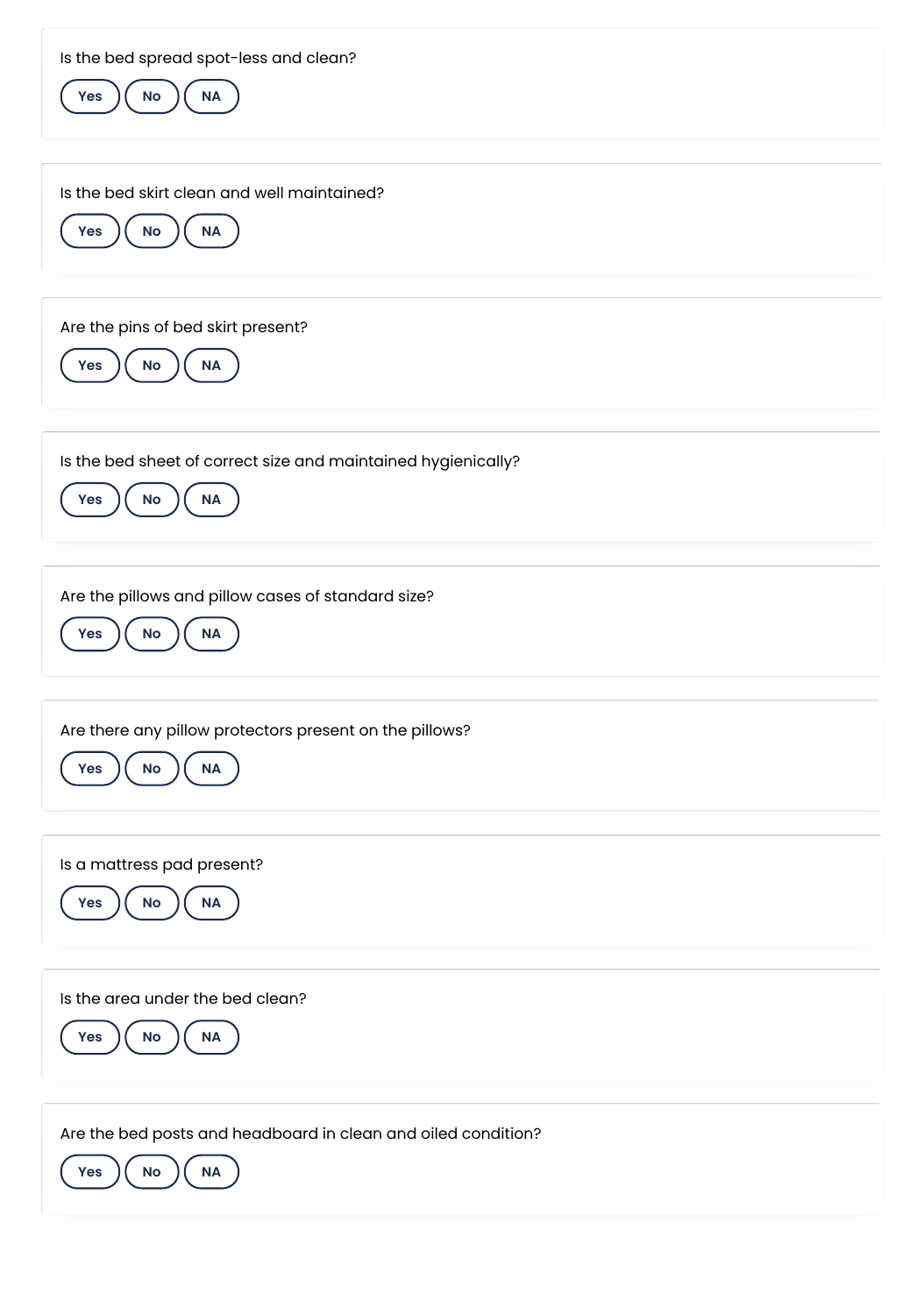| Is the bed spread spot-less and clean?<br>$\mathsf{No}$<br>Yes<br>$\sf NA$                    |
|-----------------------------------------------------------------------------------------------|
| Is the bed skirt clean and well maintained?<br>No<br><b>NA</b><br>Yes                         |
| Are the pins of bed skirt present?<br>No<br>Yes<br><b>NA</b>                                  |
| Is the bed sheet of correct size and maintained hygienically?<br><b>NA</b><br>No<br>Yes       |
| Are the pillows and pillow cases of standard size?<br>$\mathsf{No}$<br>$\sf NA$<br><b>Yes</b> |
| Are there any pillow protectors present on the pillows?<br>$\mathsf{No}$<br><b>NA</b><br>Yes  |
| Is a mattress pad present?<br>$\sf NA$<br>$\mathsf{No}$<br>Yes                                |
| Is the area under the bed clean?<br>Yes<br>$\mathsf{No}$<br>NA                                |
| Are the bed posts and headboard in clean and oiled condition?<br>$\sf NA$<br>No<br><b>Yes</b> |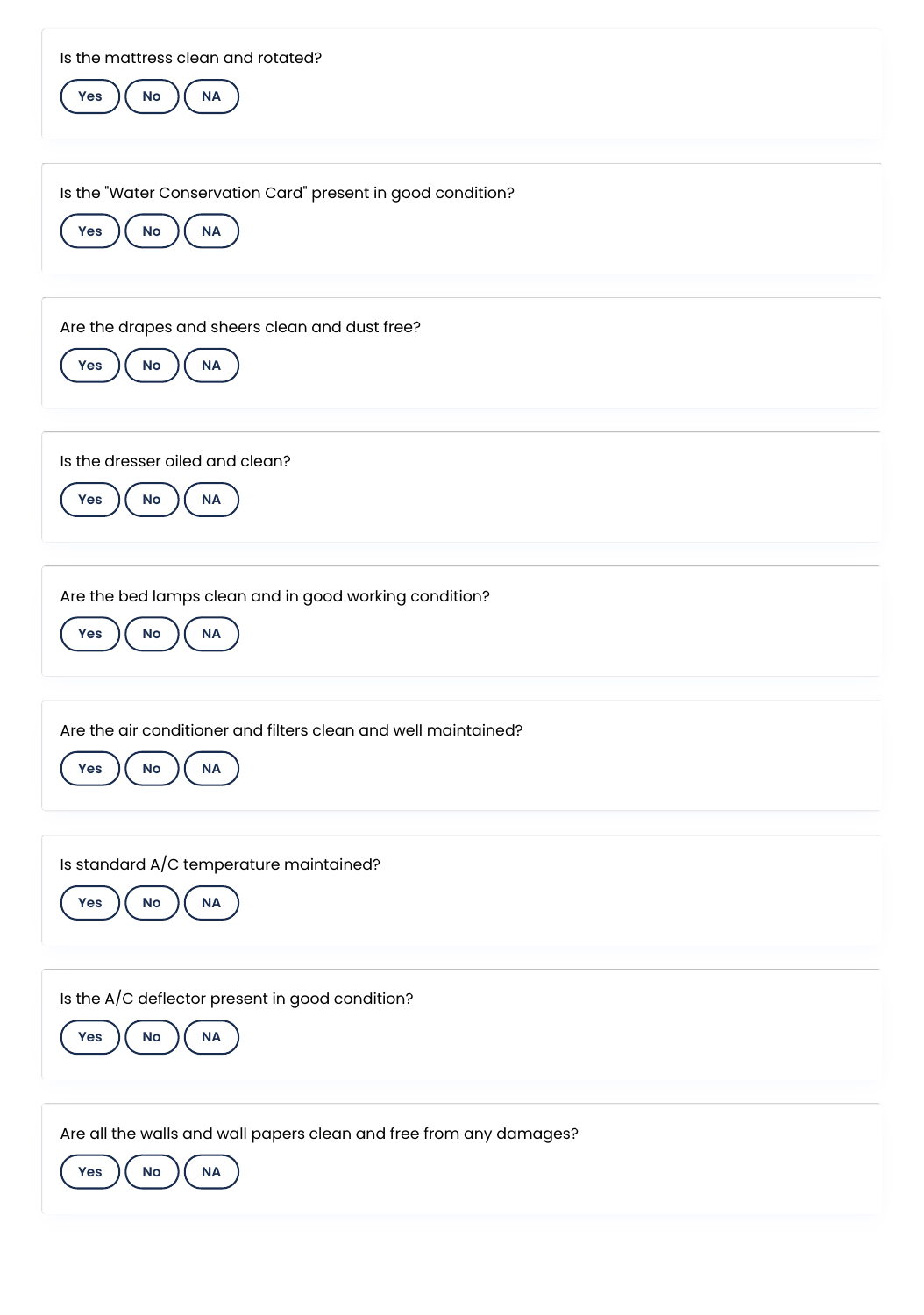| Is the mattress clean and rotated?<br>$\mathsf{No}$<br>$\sf NA$<br>Yes                       |
|----------------------------------------------------------------------------------------------|
| Is the "Water Conservation Card" present in good condition?<br>No<br>$\sf NA$<br>Yes         |
| Are the drapes and sheers clean and dust free?<br>$\sf NA$<br>$\mathsf{No}$<br><b>Yes</b>    |
| Is the dresser oiled and clean?<br>Yes<br><b>No</b><br><b>NA</b>                             |
| Are the bed lamps clean and in good working condition?<br>$\sf NA$<br>No<br>Yes              |
| Are the air conditioner and filters clean and well maintained?<br>No<br><b>NA</b><br>Yes     |
| Is standard A/C temperature maintained?<br><b>No</b><br>Yes<br>$\sf NA$                      |
| Is the A/C deflector present in good condition?<br>$\mathsf{No}$<br>NA<br><b>Yes</b>         |
| Are all the walls and wall papers clean and free from any damages?<br>Yes<br>No<br><b>NA</b> |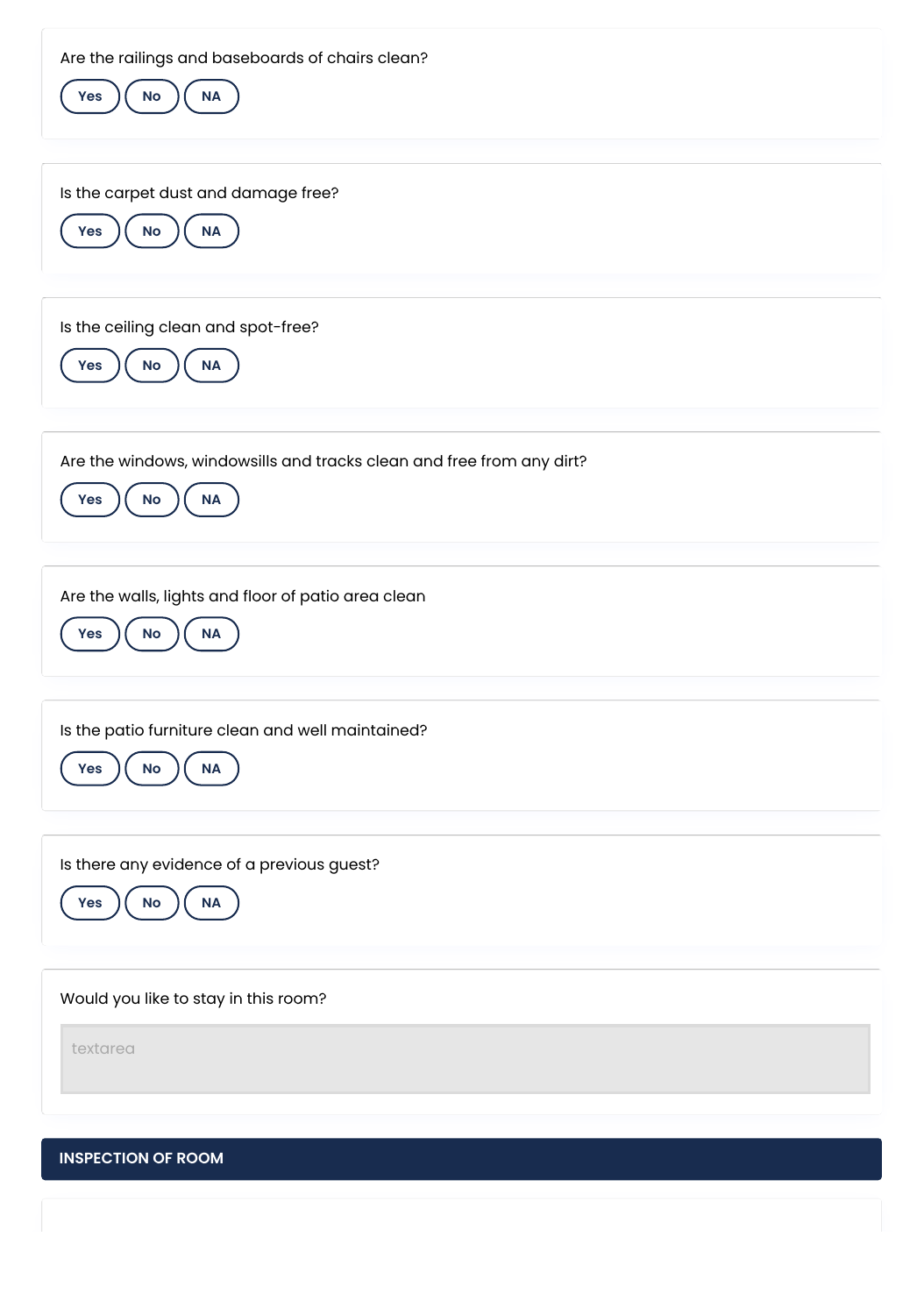**INSPECTION OF ROOM** Are the railings and baseboards of chairs clean? **Yes**  $\left(\begin{array}{c} \mathsf{No} \end{array}\right)$  **NA** Is the carpet dust and damage free? **Yes**  $\left(\begin{array}{c} \mathsf{No} \end{array}\right)$  **NA** Is the ceiling clean and spot-free?  $Yes$   $)(No)$   $(NA)$ Are the windows, windowsills and tracks clean and free from any dirt? **Yes**  $\left(\begin{array}{c} \mathsf{No} \end{array}\right)$  ( NA Are the walls, lights and floor of patio area clean **Yes**  $\left(\begin{array}{c} \mathsf{No} \end{array}\right)$  **NA** Is the patio furniture clean and well maintained? **Yes**  $\left(\begin{array}{c} \mathsf{No} \end{array}\right)$  **NA** Is there any evidence of a previous guest?  $Yes$   $)(No)$   $(NA)$ Would you like to stay in this room? textarea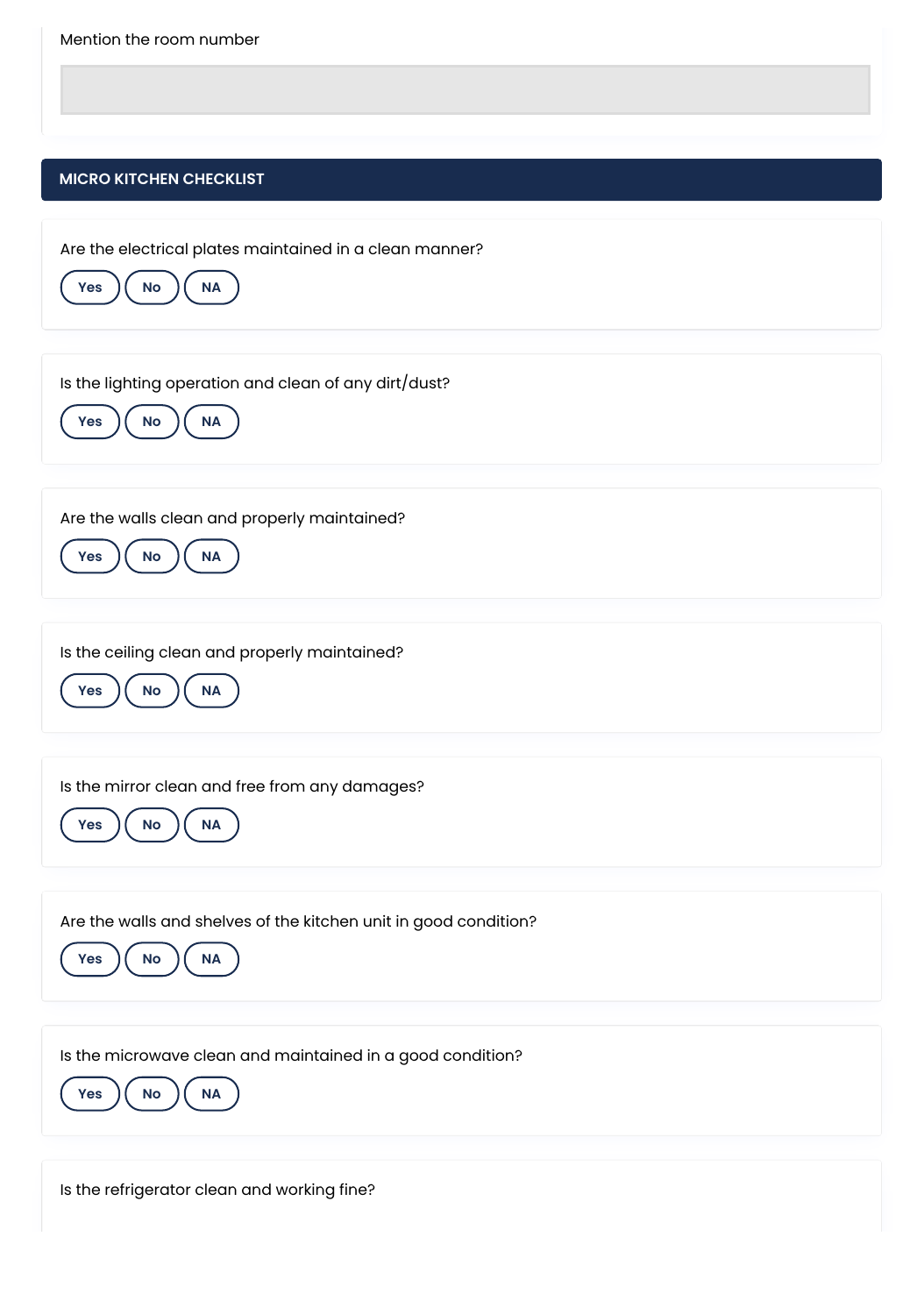

Is the refrigerator clean and working fine?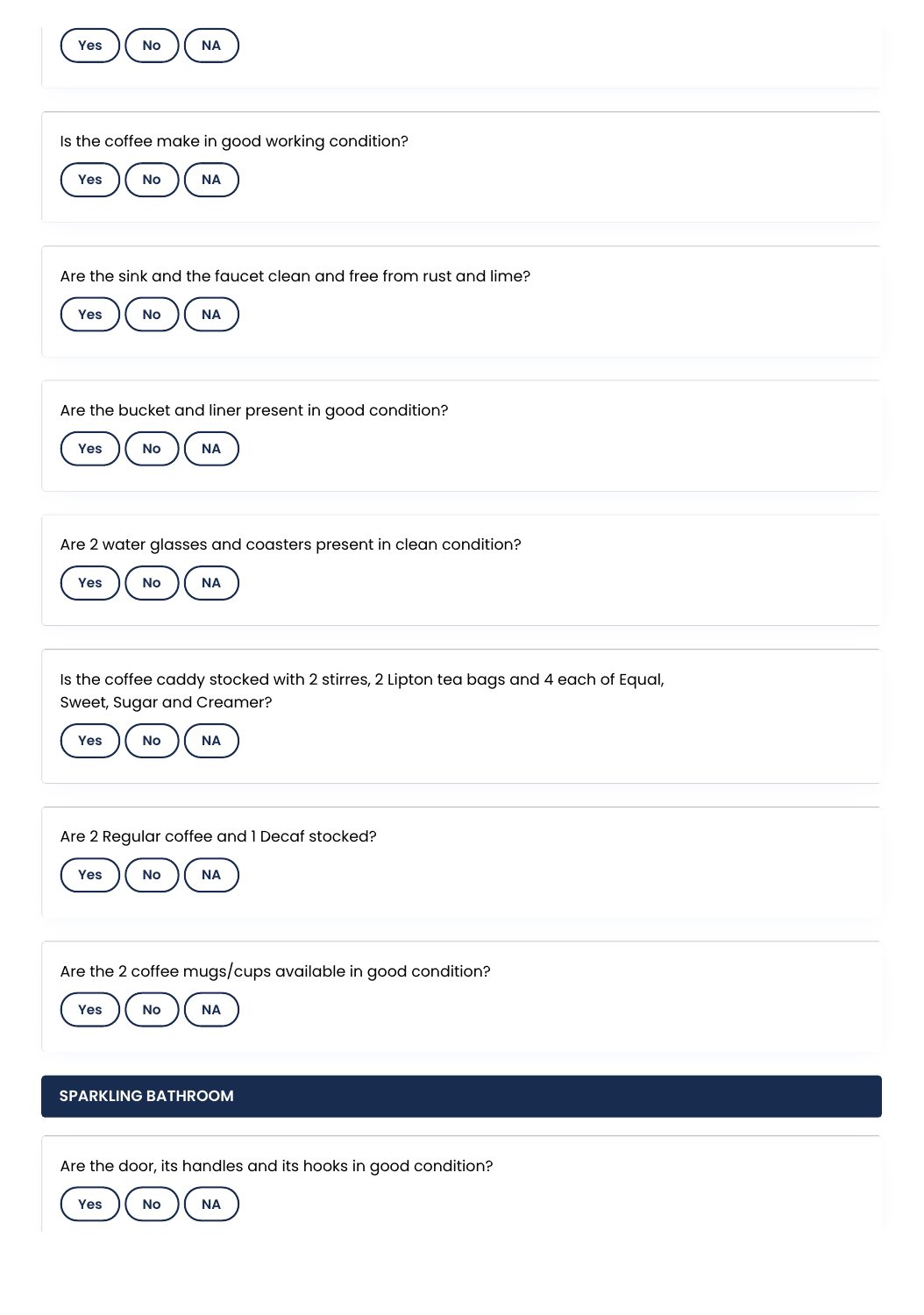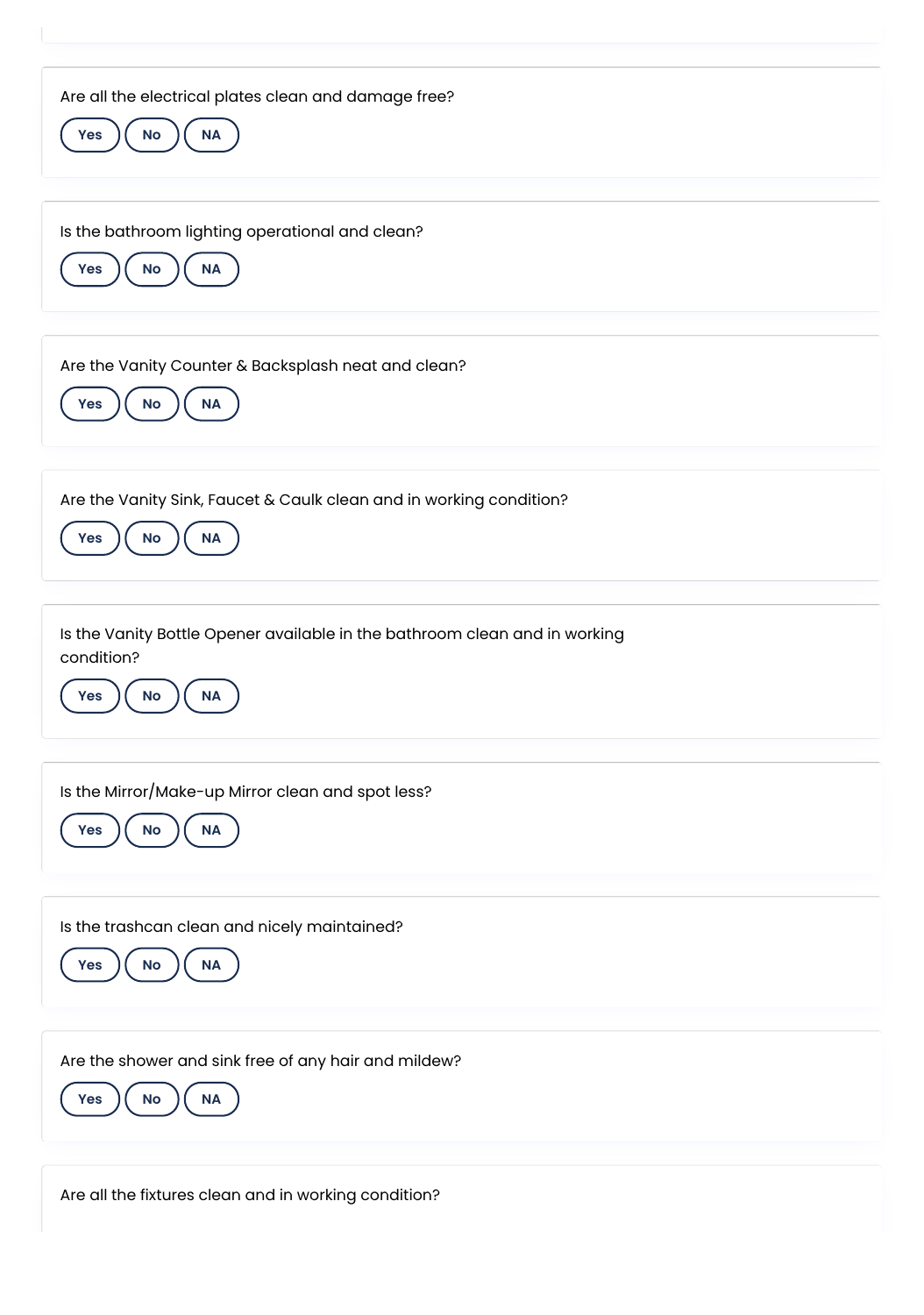| Are all the electrical plates clean and damage free?<br>No<br>Yes<br>$\sf NA$                                      |
|--------------------------------------------------------------------------------------------------------------------|
| Is the bathroom lighting operational and clean?<br>$\sf NA$<br>$\mathsf{No}$<br><b>Yes</b>                         |
| Are the Vanity Counter & Backsplash neat and clean?<br><b>No</b><br>$\sf NA$<br>Yes                                |
| Are the Vanity Sink, Faucet & Caulk clean and in working condition?<br><b>No</b><br><b>NA</b><br>Yes               |
| Is the Vanity Bottle Opener available in the bathroom clean and in working<br>condition?<br><b>NA</b><br>Yes<br>No |
| Is the Mirror/Make-up Mirror clean and spot less?<br>NA<br>Yes<br>No                                               |
| Is the trashcan clean and nicely maintained?<br>Yes<br>No<br>NA                                                    |
| Are the shower and sink free of any hair and mildew?<br>NA<br>Yes<br>No                                            |
| Are all the fixtures clean and in working condition?                                                               |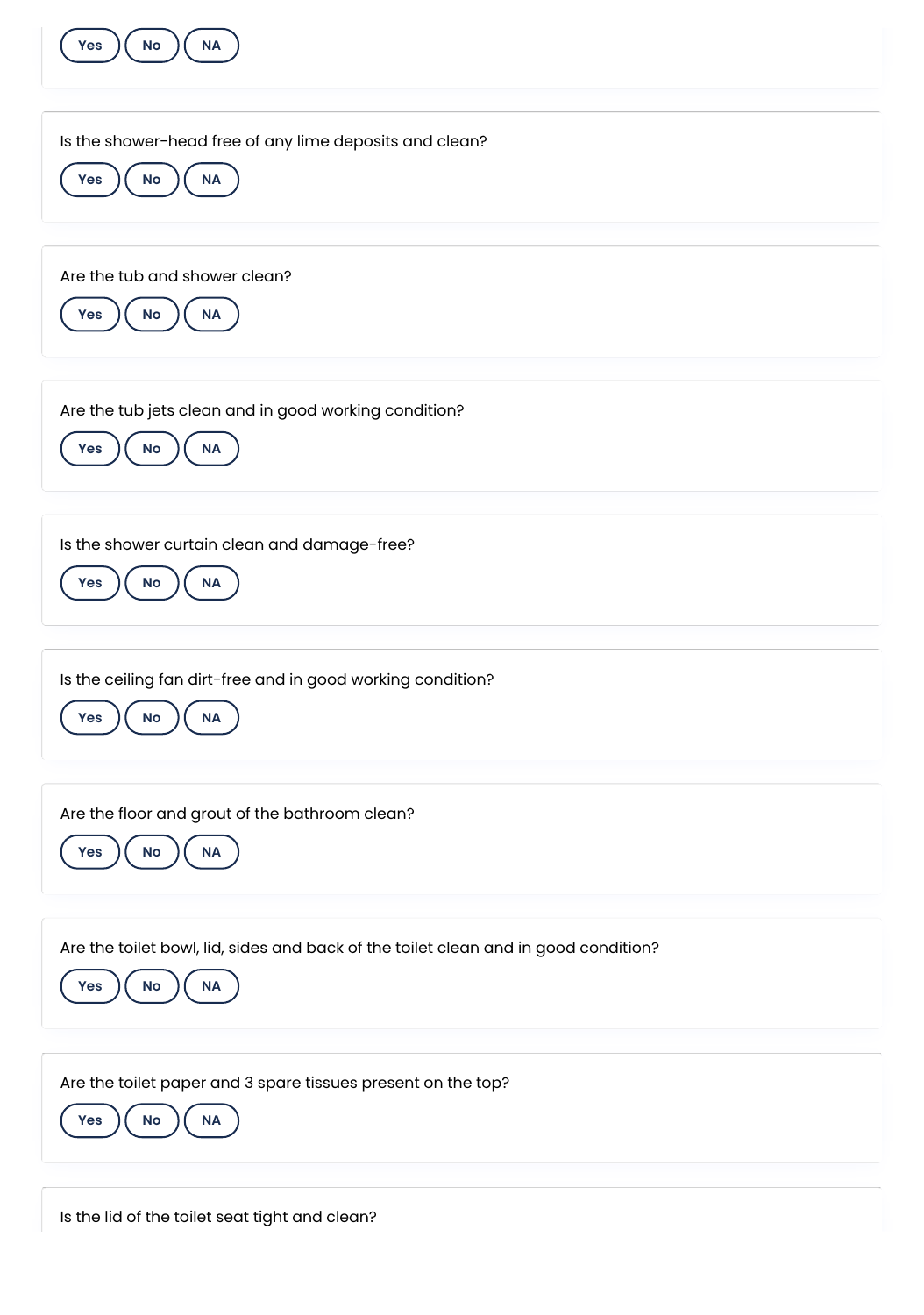| <b>NA</b><br>No<br>Yes                                                                                                         |
|--------------------------------------------------------------------------------------------------------------------------------|
| Is the shower-head free of any lime deposits and clean?<br>$\sf NA$<br>Yes<br>$\mathsf{No}$                                    |
| Are the tub and shower clean?<br>$\sf NA$<br>$\mathsf{No}$<br>Yes                                                              |
| Are the tub jets clean and in good working condition?<br><b>NA</b><br>No<br>Yes                                                |
| Is the shower curtain clean and damage-free?<br>$\sf NA$<br><b>Yes</b><br>No                                                   |
| Is the ceiling fan dirt-free and in good working condition?<br>Yes<br>No<br><b>NA</b>                                          |
| Are the floor and grout of the bathroom clean?<br>Yes<br>$\sf NA$<br>$\mathsf{No}$                                             |
| Are the toilet bowl, lid, sides and back of the toilet clean and in good condition?<br>$\sf NA$<br>$\mathsf{No}$<br><b>Yes</b> |
| Are the toilet paper and 3 spare tissues present on the top?<br>No<br>$\sf NA$<br><b>Yes</b>                                   |

Is the lid of the toilet seat tight and clean?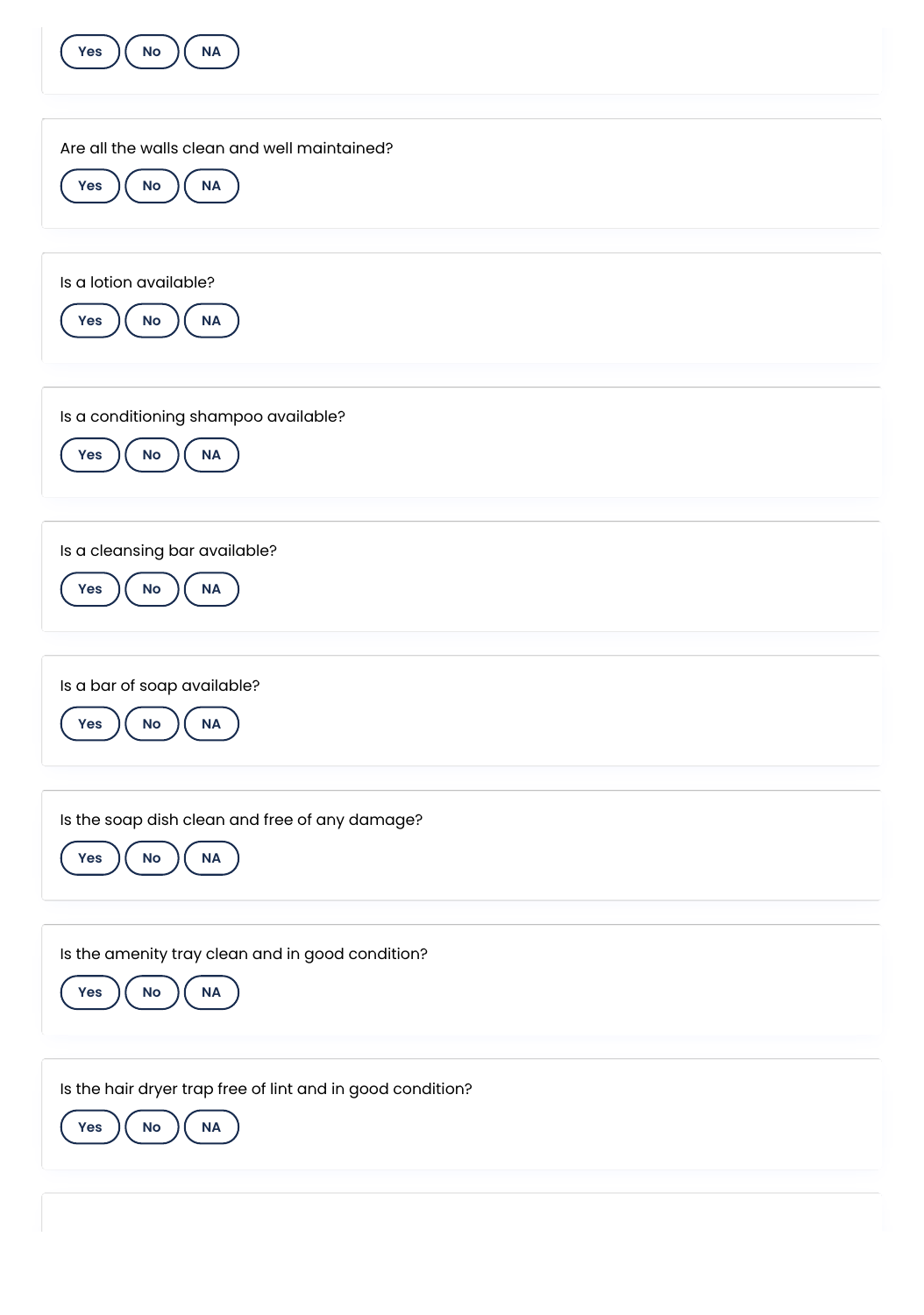| NA<br>No<br>Yes                                                                             |
|---------------------------------------------------------------------------------------------|
| Are all the walls clean and well maintained?<br>$\sf NA$<br>Yes<br><b>No</b>                |
| Is a lotion available?<br>$\sf NA$<br>$\mathsf{No}$<br><b>Yes</b>                           |
| Is a conditioning shampoo available?<br>$\sf NA$<br>$\mathsf{No}$<br><b>Yes</b>             |
| Is a cleansing bar available?<br>$\sf NA$<br>Yes<br>No                                      |
| Is a bar of soap available?<br>Yes<br><b>No</b><br><b>NA</b>                                |
| Is the soap dish clean and free of any damage?<br>$\sf NA$<br>Yes<br>$\mathsf{No}$          |
| Is the amenity tray clean and in good condition?<br>$\sf NA$<br>$\mathsf{No}$<br><b>Yes</b> |
| Is the hair dryer trap free of lint and in good condition?<br>Yes<br>No<br>$\sf NA$         |